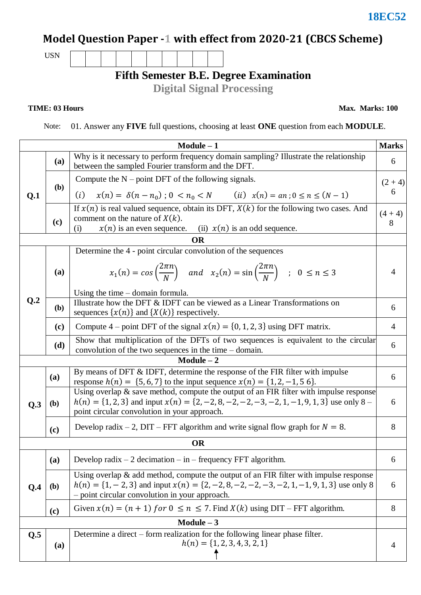### **18EC52**

# **Model Question Paper -1 with effect from 2020-21 (CBCS Scheme)**

USN

### **Fifth Semester B.E. Degree Examination**

**Digital Signal Processing**

#### **TIME: 03 Hours**

**Max. Marks: 100**

Note: 01. Answer any **FIVE** full questions, choosing at least **ONE** question from each **MODULE**.

| <b>Marks</b><br>$Module - 1$ |            |                                                                                                                                                                                                                                                |   |  |  |  |  |
|------------------------------|------------|------------------------------------------------------------------------------------------------------------------------------------------------------------------------------------------------------------------------------------------------|---|--|--|--|--|
|                              | (a)        | Why is it necessary to perform frequency domain sampling? Illustrate the relationship<br>between the sampled Fourier transform and the DFT.                                                                                                    |   |  |  |  |  |
|                              | <b>(b)</b> | Compute the $N$ – point DFT of the following signals.                                                                                                                                                                                          |   |  |  |  |  |
| Q.1                          |            | $x(n) = \delta(n - n_0)$ ; $0 < n_0 < N$ (ii) $x(n) = an$ ; $0 \le n \le (N - 1)$<br>(i)                                                                                                                                                       | 6 |  |  |  |  |
|                              | (c)        | If $x(n)$ is real valued sequence, obtain its DFT, $X(k)$ for the following two cases. And<br>comment on the nature of $X(k)$ .<br>$x(n)$ is an even sequence.<br>(ii) $x(n)$ is an odd sequence.<br>(i)                                       |   |  |  |  |  |
|                              |            | <b>OR</b>                                                                                                                                                                                                                                      |   |  |  |  |  |
|                              |            | Determine the 4 - point circular convolution of the sequences                                                                                                                                                                                  |   |  |  |  |  |
|                              | (a)        | $x_1(n) = \cos\left(\frac{2\pi n}{N}\right)$ and $x_2(n) = \sin\left(\frac{2\pi n}{N}\right)$ ; $0 \le n \le 3$                                                                                                                                | 4 |  |  |  |  |
|                              |            | Using the time $-$ domain formula.                                                                                                                                                                                                             |   |  |  |  |  |
| Q <sub>.2</sub>              | (b)        | Illustrate how the DFT & IDFT can be viewed as a Linear Transformations on<br>sequences $\{x(n)\}\$ and $\{X(k)\}\$ respectively.                                                                                                              |   |  |  |  |  |
|                              | (c)        | Compute 4 – point DFT of the signal $x(n) = \{0, 1, 2, 3\}$ using DFT matrix.                                                                                                                                                                  |   |  |  |  |  |
|                              | (d)        | Show that multiplication of the DFTs of two sequences is equivalent to the circular<br>convolution of the two sequences in the time $-$ domain.                                                                                                |   |  |  |  |  |
|                              |            | $Module - 2$                                                                                                                                                                                                                                   |   |  |  |  |  |
|                              | (a)        | By means of DFT & IDFT, determine the response of the FIR filter with impulse<br>response $h(n) = \{5, 6, 7\}$ to the input sequence $x(n) = \{1, 2, -1, 5, 6\}$ .                                                                             |   |  |  |  |  |
| Q.3                          | (b)        | Using overlap & save method, compute the output of an FIR filter with impulse response<br>$h(n) = \{1, 2, 3\}$ and input $x(n) = \{2, -2, 8, -2, -2, -3, -2, 1, -1, 9, 1, 3\}$ use only 8 –<br>point circular convolution in your approach.    |   |  |  |  |  |
|                              | (c)        | Develop radix – 2, DIT – FFT algorithm and write signal flow graph for $N = 8$ .                                                                                                                                                               |   |  |  |  |  |
| <b>OR</b>                    |            |                                                                                                                                                                                                                                                |   |  |  |  |  |
|                              | (a)        | Develop radix $-2$ decimation $-\text{ in } -$ frequency FFT algorithm.                                                                                                                                                                        | 6 |  |  |  |  |
| Q.4                          | (b)        | Using overlap $\&$ add method, compute the output of an FIR filter with impulse response<br>$h(n) = \{1, -2, 3\}$ and input $x(n) = \{2, -2, 8, -2, -2, -3, -2, 1, -1, 9, 1, 3\}$ use only 8<br>- point circular convolution in your approach. |   |  |  |  |  |
|                              | (c)        | Given $x(n) = (n + 1)$ for $0 \le n \le 7$ . Find $X(k)$ using DIT – FFT algorithm.                                                                                                                                                            | 8 |  |  |  |  |
| $Module - 3$                 |            |                                                                                                                                                                                                                                                |   |  |  |  |  |
| Q.5                          | (a)        | Determine a direct – form realization for the following linear phase filter.<br>$h(n) = \{1, 2, 3, 4, 3, 2, 1\}$                                                                                                                               | 4 |  |  |  |  |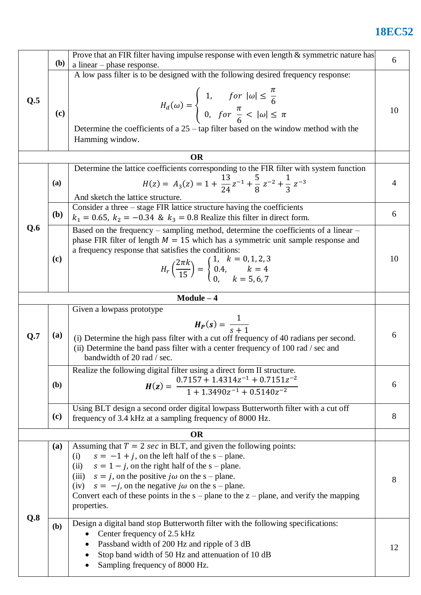## **18EC52**

|           | <b>(b)</b>                                                                                                                                                                                                                                                                                                                                                                                                                                        | Prove that an FIR filter having impulse response with even length $\&$ symmetric nature has                                                                                                                                                                                                                                                                |    |  |  |
|-----------|---------------------------------------------------------------------------------------------------------------------------------------------------------------------------------------------------------------------------------------------------------------------------------------------------------------------------------------------------------------------------------------------------------------------------------------------------|------------------------------------------------------------------------------------------------------------------------------------------------------------------------------------------------------------------------------------------------------------------------------------------------------------------------------------------------------------|----|--|--|
| Q.5       | (c)                                                                                                                                                                                                                                                                                                                                                                                                                                               | a linear $-$ phase response.<br>A low pass filter is to be designed with the following desired frequency response:<br>$H_d(\omega) = \begin{cases} 1, & \text{for }  \omega  \leq \frac{\pi}{6} \\ 0, & \text{for } \frac{\pi}{6} <  \omega  \leq \pi \end{cases}$                                                                                         |    |  |  |
|           |                                                                                                                                                                                                                                                                                                                                                                                                                                                   | Determine the coefficients of a $25 - \tan$ filter based on the window method with the<br>Hamming window.                                                                                                                                                                                                                                                  |    |  |  |
| <b>OR</b> |                                                                                                                                                                                                                                                                                                                                                                                                                                                   |                                                                                                                                                                                                                                                                                                                                                            |    |  |  |
| Q.6       | (a)                                                                                                                                                                                                                                                                                                                                                                                                                                               | Determine the lattice coefficients corresponding to the FIR filter with system function<br>$H(z) = A_3(z) = 1 + \frac{13}{24}z^{-1} + \frac{5}{8}z^{-2} + \frac{1}{3}z^{-3}$<br>And sketch the lattice structure.                                                                                                                                          | 4  |  |  |
|           | (b)                                                                                                                                                                                                                                                                                                                                                                                                                                               | Consider a three – stage FIR lattice structure having the coefficients<br>$k_1 = 0.65$ , $k_2 = -0.34$ & $k_3 = 0.8$ Realize this filter in direct form.                                                                                                                                                                                                   | 6  |  |  |
|           | (c)                                                                                                                                                                                                                                                                                                                                                                                                                                               | Based on the frequency – sampling method, determine the coefficients of a linear –<br>phase FIR filter of length $M = 15$ which has a symmetric unit sample response and<br>a frequency response that satisfies the conditions:<br>$H_r\left(\frac{2\pi k}{15}\right) = \begin{cases} 1, & k = 0, 1, 2, 3 \\ 0.4, & k = 4 \\ 0, & k = 5, 6, 7 \end{cases}$ | 10 |  |  |
|           |                                                                                                                                                                                                                                                                                                                                                                                                                                                   | $Module - 4$                                                                                                                                                                                                                                                                                                                                               |    |  |  |
| Q.7       | (a)                                                                                                                                                                                                                                                                                                                                                                                                                                               | Given a lowpass prototype<br>$H_P(s) = \frac{1}{s+1}$<br>(i) Determine the high pass filter with a cut off frequency of 40 radians per second.<br>(ii) Determine the band pass filter with a center frequency of 100 rad / sec and<br>bandwidth of 20 rad / sec.                                                                                           |    |  |  |
|           | (b)                                                                                                                                                                                                                                                                                                                                                                                                                                               | Realize the following digital filter using a direct form II structure.<br>$H(z) = \frac{0.7157 + 1.4314z^{-1} + 0.7151z^{-2}}{1 + 1.3490z^{-1} + 0.5140z^{-2}}$                                                                                                                                                                                            | 6  |  |  |
|           | (c)                                                                                                                                                                                                                                                                                                                                                                                                                                               | Using BLT design a second order digital lowpass Butterworth filter with a cut off<br>frequency of 3.4 kHz at a sampling frequency of 8000 Hz.                                                                                                                                                                                                              |    |  |  |
|           |                                                                                                                                                                                                                                                                                                                                                                                                                                                   | <b>OR</b>                                                                                                                                                                                                                                                                                                                                                  |    |  |  |
| Q.8       | Assuming that $T = 2 \text{ sec}$ in BLT, and given the following points:<br>(a)<br>$s = -1 + i$ , on the left half of the s – plane.<br>(i)<br>(ii) $s = 1 - j$ , on the right half of the s - plane.<br>(iii) $s = j$ , on the positive $j\omega$ on the s – plane.<br>(iv) $s = -j$ , on the negative $j\omega$ on the s – plane.<br>Convert each of these points in the $s$ – plane to the $z$ – plane, and verify the mapping<br>properties. |                                                                                                                                                                                                                                                                                                                                                            | 8  |  |  |
|           | (b)                                                                                                                                                                                                                                                                                                                                                                                                                                               | Design a digital band stop Butterworth filter with the following specifications:<br>Center frequency of 2.5 kHz<br>Passband width of 200 Hz and ripple of 3 dB<br>Stop band width of 50 Hz and attenuation of 10 dB<br>Sampling frequency of 8000 Hz.<br>$\bullet$                                                                                         | 12 |  |  |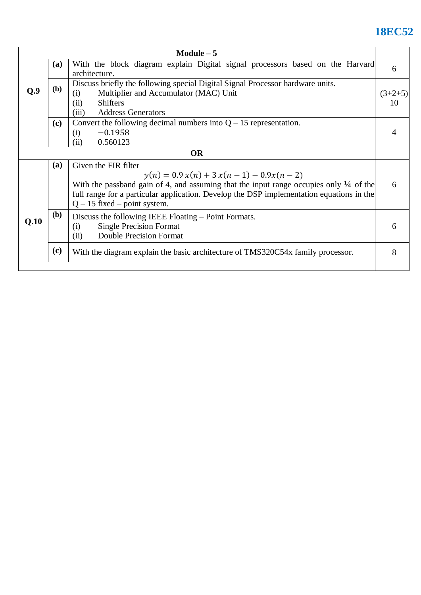## **18EC52**

| Module $-5$ |            |                                                                                                                                                                                                                                                                                                         |   |  |  |  |
|-------------|------------|---------------------------------------------------------------------------------------------------------------------------------------------------------------------------------------------------------------------------------------------------------------------------------------------------------|---|--|--|--|
|             | (a)        | With the block diagram explain Digital signal processors based on the Harvard<br>architecture.                                                                                                                                                                                                          | 6 |  |  |  |
| Q.9         | <b>(b)</b> | Discuss briefly the following special Digital Signal Processor hardware units.<br>Multiplier and Accumulator (MAC) Unit<br>(i)<br><b>Shifters</b><br>(ii)<br>(iii)<br><b>Address Generators</b>                                                                                                         |   |  |  |  |
|             | (c)        | Convert the following decimal numbers into $Q - 15$ representation.<br>$-0.1958$<br>(i)<br>0.560123<br>(ii)                                                                                                                                                                                             |   |  |  |  |
| <b>OR</b>   |            |                                                                                                                                                                                                                                                                                                         |   |  |  |  |
|             | (a)        | Given the FIR filter<br>$y(n) = 0.9 x(n) + 3 x(n - 1) - 0.9x(n - 2)$<br>With the passband gain of 4, and assuming that the input range occupies only $\frac{1}{4}$ of the<br>full range for a particular application. Develop the DSP implementation equations in the<br>$Q - 15$ fixed – point system. | 6 |  |  |  |
| Q.10        | <b>(b)</b> | Discuss the following IEEE Floating – Point Formats.<br><b>Single Precision Format</b><br>(i)<br><b>Double Precision Format</b><br>(ii)                                                                                                                                                                 | 6 |  |  |  |
|             | (c)        | With the diagram explain the basic architecture of TMS320C54x family processor.                                                                                                                                                                                                                         | 8 |  |  |  |
|             |            |                                                                                                                                                                                                                                                                                                         |   |  |  |  |